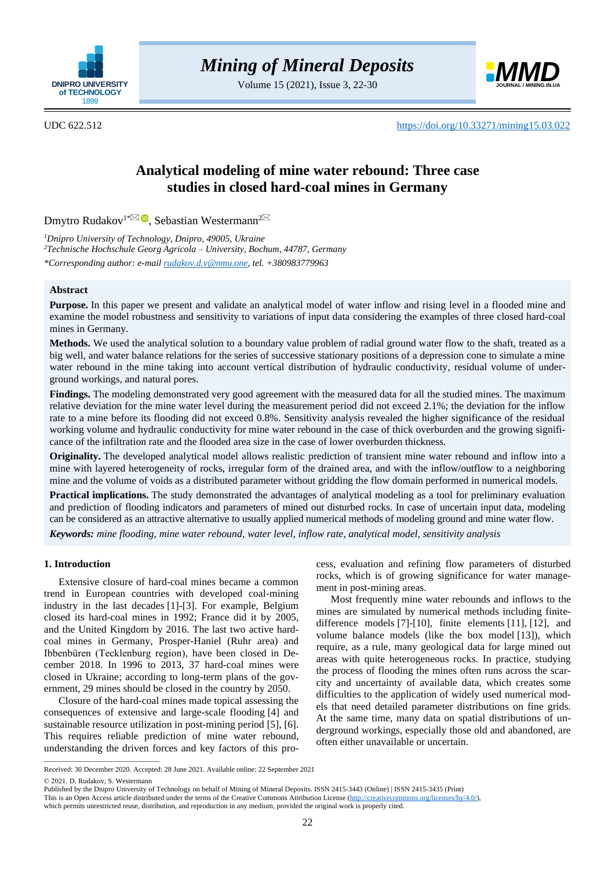

Volume 15 (2021), Issue 3, 22-30



UDC 622.512 <https://doi.org/10.33271/mining15.03.022>

# **Analytical modeling of mine water rebound: Three case studies in closed hard-coal mines in Germany**

Dmytro Rudakov<sup>1[\\*](mailto:rudakov.d.v@nmu.one)⊠ D</sup>[,](https://orcid.org/0000-0001-7878-8692) Sebastian Westermann<sup>[2](mailto:sebastian.westermann@thga.de)</sup>

*<sup>1</sup>Dnipro University of Technology, Dnipro, 49005, Ukraine <sup>2</sup>Technische Hochschule Georg Agricola – University, Bochum, 44787, Germany \*Corresponding author: e-mai[l rudakov.d.v@nmu.one,](mailto:rudakov.d.v@nmu.one) tel. +380983779963*

# **Abstract**

**Purpose.** In this paper we present and validate an analytical model of water inflow and rising level in a flooded mine and examine the model robustness and sensitivity to variations of input data considering the examples of three closed hard-coal mines in Germany.

**Methods.** We used the analytical solution to a boundary value problem of radial ground water flow to the shaft, treated as a big well, and water balance relations for the series of successive stationary positions of a depression cone to simulate a mine water rebound in the mine taking into account vertical distribution of hydraulic conductivity, residual volume of underground workings, and natural pores.

**Findings.** The modeling demonstrated very good agreement with the measured data for all the studied mines. The maximum relative deviation for the mine water level during the measurement period did not exceed 2.1%; the deviation for the inflow rate to a mine before its flooding did not exceed 0.8%. Sensitivity analysis revealed the higher significance of the residual working volume and hydraulic conductivity for mine water rebound in the case of thick overburden and the growing significance of the infiltration rate and the flooded area size in the case of lower overburden thickness.

**Originality.** The developed analytical model allows realistic prediction of transient mine water rebound and inflow into a mine with layered heterogeneity of rocks, irregular form of the drained area, and with the inflow/outflow to a neighboring mine and the volume of voids as a distributed parameter without gridding the flow domain performed in numerical models.

**Practical implications.** The study demonstrated the advantages of analytical modeling as a tool for preliminary evaluation and prediction of flooding indicators and parameters of mined out disturbed rocks. In case of uncertain input data, modeling can be considered as an attractive alternative to usually applied numerical methods of modeling ground and mine water flow.

*Keywords: mine flooding, mine water rebound, water level, inflow rate, analytical model, sensitivity analysis*

## **1. Introduction**

Extensive closure of hard-coal mines became a common trend in European countries with developed coal-mining industry in the last decades [\[1\]](#page-7-0)[-\[3\].](#page-7-1) For example, Belgium closed its hard-coal mines in 1992; France did it by 2005, and the United Kingdom by 2016. The last two active hardcoal mines in Germany, Prosper-Haniel (Ruhr area) and Ibbenbüren (Tecklenburg region), have been closed in December 2018. In 1996 to 2013, 37 hard-coal mines were closed in Ukraine; according to long-term plans of the government, 29 mines should be closed in the country by 2050.

Closure of the hard-coal mines made topical assessing the consequences of extensive and large-scale flooding [\[4\]](#page-7-2) and sustainable resource utilization in post-mining period [\[5\],](#page-7-3) [\[6\].](#page-7-4) This requires reliable prediction of mine water rebound, understanding the driven forces and key factors of this process, evaluation and refining flow parameters of disturbed rocks, which is of growing significance for water management in post-mining areas.

Most frequently mine water rebounds and inflows to the mines are simulated by numerical methods including finitedifference models [\[7\]](#page-7-5)[-\[10\],](#page-7-6) finite elements [\[11\],](#page-7-7) [\[12\],](#page-7-8) and volume balance models (like the box model [\[13\]\)](#page-7-9), which require, as a rule, many geological data for large mined out areas with quite heterogeneous rocks. In practice, studying the process of flooding the mines often runs across the scarcity and uncertainty of available data, which creates some difficulties to the application of widely used numerical models that need detailed parameter distributions on fine grids. At the same time, many data on spatial distributions of underground workings, especially those old and abandoned, are often either unavailable or uncertain.

 $\overline{\phantom{a}}$  ,  $\overline{\phantom{a}}$  ,  $\overline{\phantom{a}}$  ,  $\overline{\phantom{a}}$  ,  $\overline{\phantom{a}}$  ,  $\overline{\phantom{a}}$  ,  $\overline{\phantom{a}}$  ,  $\overline{\phantom{a}}$  ,  $\overline{\phantom{a}}$  ,  $\overline{\phantom{a}}$  ,  $\overline{\phantom{a}}$  ,  $\overline{\phantom{a}}$  ,  $\overline{\phantom{a}}$  ,  $\overline{\phantom{a}}$  ,  $\overline{\phantom{a}}$  ,  $\overline{\phantom{a}}$ 

Received: 30 December 2020. Accepted: 28 June 2021. Available online: 22 September 2021

<sup>© 2021.</sup> D. Rudakov, S. Westermann

Published by the Dnipro University of Technology on behalf of Mining of Mineral Deposits. ISSN 2415-3443 (Online) | ISSN 2415-3435 (Print)

This is an Open Access article distributed under the terms of the Creative Commons Attribution License [\(http://creativecommons.org/licenses/by/4.0/\)](http://creativecommons.org/licenses/by/4.0/),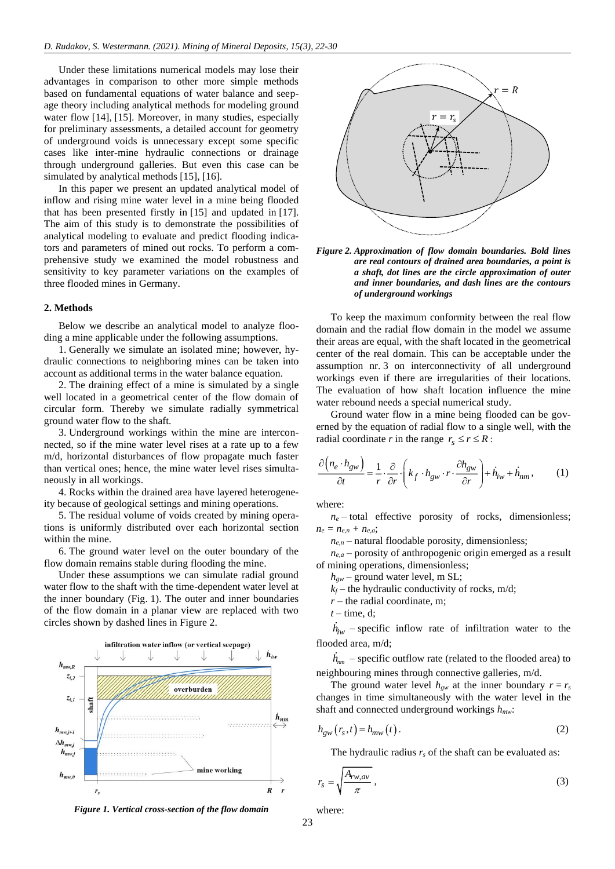Under these limitations numerical models may lose their advantages in comparison to other more simple methods based on fundamental equations of water balance and seepage theory including analytical methods for modeling ground water flow [\[14\],](#page-7-10) [\[15\].](#page-7-11) Moreover, in many studies, especially for preliminary assessments, a detailed account for geometry of underground voids is unnecessary except some specific cases like inter-mine hydraulic connections or drainage through underground galleries. But even this case can be simulated by analytical methods [\[15\],](#page-7-11) [\[16\].](#page-7-12)

In this paper we present an updated analytical model of inflow and rising mine water level in a mine being flooded that has been presented firstly in [\[15\]](#page-7-11) and updated in [\[17\].](#page-7-13) The aim of this study is to demonstrate the possibilities of analytical modeling to evaluate and predict flooding indicators and parameters of mined out rocks. To perform a comprehensive study we examined the model robustness and sensitivity to key parameter variations on the examples of three flooded mines in Germany.

#### **2. Methods**

Below we describe an analytical model to analyze flooding a mine applicable under the following assumptions.

1. Generally we simulate an isolated mine; however, hydraulic connections to neighboring mines can be taken into account as additional terms in the water balance equation.

2. The draining effect of a mine is simulated by a single well located in a geometrical center of the flow domain of circular form. Thereby we simulate radially symmetrical ground water flow to the shaft.

3. Underground workings within the mine are interconnected, so if the mine water level rises at a rate up to a few m/d, horizontal disturbances of flow propagate much faster than vertical ones; hence, the mine water level rises simultaneously in all workings.

4. Rocks within the drained area have layered heterogeneity because of geological settings and mining operations.

5. The residual volume of voids created by mining operations is uniformly distributed over each horizontal section within the mine.

6. The ground water level on the outer boundary of the flow domain remains stable during flooding the mine.

Under these assumptions we can simulate radial ground water flow to the shaft with the time-dependent water level at the inner boundary (Fig. 1). The outer and inner boundaries of the flow domain in a planar view are replaced with two circles shown by dashed lines in Figure 2.



*Figure 1. Vertical cross-section of the flow domain*



*Figure 2. Approximation of flow domain boundaries. Bold lines are real contours of drained area boundaries, a point is a shaft, dot lines are the circle approximation of outer and inner boundaries, and dash lines are the contours of underground workings*

To keep the maximum conformity between the real flow domain and the radial flow domain in the model we assume their areas are equal, with the shaft located in the geometrical center of the real domain. This can be acceptable under the assumption nr. 3 on interconnectivity of all underground workings even if there are irregularities of their locations. The evaluation of how shaft location influence the mine water rebound needs a special numerical study.

Ground water flow in a mine being flooded can be governed by the equation of radial flow to a single well, with the radial coordinate *r* in the range  $r_s \le r \le R$ :

$$
\frac{\partial (n_e \cdot h_{gw})}{\partial t} = \frac{1}{r} \cdot \frac{\partial}{\partial r} \cdot \left( k_f \cdot h_{gw} \cdot r \cdot \frac{\partial h_{gw}}{\partial r} \right) + \dot{h}_{iw} + \dot{h}_{nm}, \quad (1)
$$

where:

 $n_e$  – total effective porosity of rocks, dimensionless;  $n_e = n_{e,n} + n_{e,a};$ 

 $n_{e,n}$  – natural floodable porosity, dimensionless;

*ne,a* – porosity of anthropogenic origin emerged as a result of mining operations, dimensionless;

 $h_{gw}$  – ground water level, m SL;

 $k_f$  – the hydraulic conductivity of rocks, m/d;

 $r$  – the radial coordinate, m;

 $t$  – time, d;

 $h_{iw}$  – specific inflow rate of infiltration water to the flooded area, m/d;

 $h_{nm}$  – specific outflow rate (related to the flooded area) to neighbouring mines through connective galleries, m/d.

The ground water level  $h_{gw}$  at the inner boundary  $r = r_s$ changes in time simultaneously with the water level in the shaft and connected underground workings *hmw*:

$$
h_{gw}(r_s, t) = h_{mw}(t). \tag{2}
$$

The hydraulic radius  $r_s$  of the shaft can be evaluated as:

$$
r_s = \sqrt{\frac{A_{rw,av}}{\pi}}\,,\tag{3}
$$

where: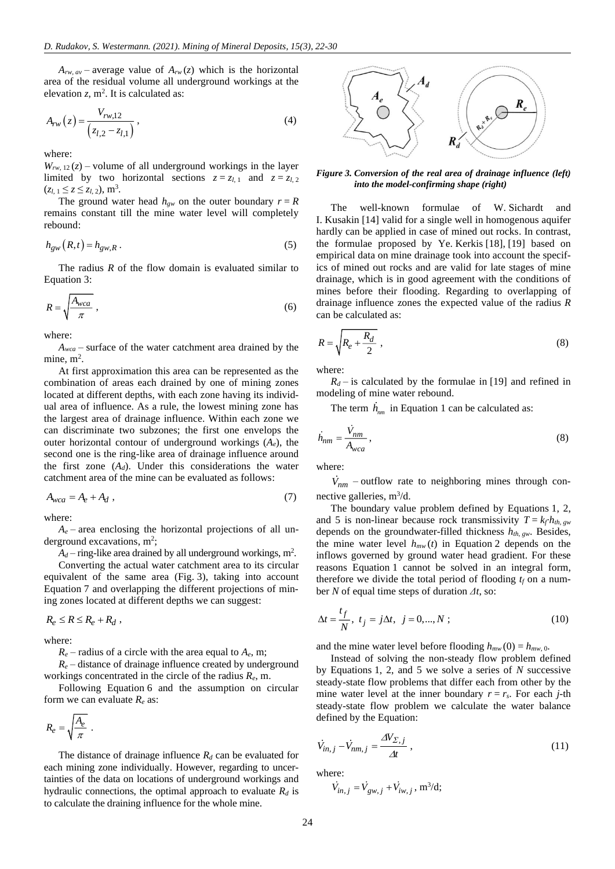$A_{rw, av}$  – average value of  $A_{rw}(z)$  which is the horizontal area of the residual volume all underground workings at the elevation  $z$ ,  $m^2$ . It is calculated as:

$$
A_{rw}(z) = \frac{V_{rw,12}}{(z_{l,2} - z_{l,1})},
$$
\n(4)

where:

 $W_{rw, 12}(z)$  – volume of all underground workings in the layer limited by two horizontal sections  $z = z_{l,1}$  and  $z = z_{l,2}$  $(z_{l, 1} \le z \le z_{l, 2}),$  m<sup>3</sup>.

The ground water head  $h_{gw}$  on the outer boundary  $r = R$ remains constant till the mine water level will completely rebound:

$$
h_{gw}(R,t) = h_{gw,R} \,. \tag{5}
$$

The radius *R* of the flow domain is evaluated similar to Equation 3:

$$
R = \sqrt{\frac{A_{wca}}{\pi}}\,,\tag{6}
$$

where:

*Awca –* surface of the water catchment area drained by the mine,  $m^2$ .

At first approximation this area can be represented as the combination of areas each drained by one of mining zones located at different depths, with each zone having its individual area of influence. As a rule, the lowest mining zone has the largest area of drainage influence. Within each zone we can discriminate two subzones; the first one envelops the outer horizontal contour of underground workings (*Ae*), the second one is the ring-like area of drainage influence around the first zone  $(A_d)$ . Under this considerations the water catchment area of the mine can be evaluated as follows:

$$
A_{wca} = A_e + A_d \tag{7}
$$

where:

 $A_e$  – area enclosing the horizontal projections of all underground excavations,  $m^2$ ;

 $A_d$  – ring-like area drained by all underground workings, m<sup>2</sup>.

Converting the actual water catchment area to its circular equivalent of the same area (Fig. 3), taking into account Equation 7 and overlapping the different projections of mining zones located at different depths we can suggest:

$$
R_e \le R \le R_e + R_d ,
$$

where:

 $R_e$  – radius of a circle with the area equal to  $A_e$ , m;

 $R_e$  – distance of drainage influence created by underground workings concentrated in the circle of the radius *Re*, m.

Following Equation 6 and the assumption on circular form we can evaluate  $R_e$  as:

$$
R_e = \sqrt{\frac{A_e}{\pi}} \ .
$$

The distance of drainage influence  $R_d$  can be evaluated for each mining zone individually. However, regarding to uncertainties of the data on locations of underground workings and hydraulic connections, the optimal approach to evaluate *R<sup>d</sup>* is to calculate the draining influence for the whole mine.



*Figure 3. Conversion of the real area of drainage influence (left) into the model-confirming shape (right)*

The well-known formulae of W. Sichardt and I. Kusakin [\[14\]](#page-7-10) valid for a single well in homogenous aquifer hardly can be applied in case of mined out rocks. In contrast, the formulae proposed by Ye. Kerkis [\[18\],](#page-7-14) [\[19\]](#page-7-15) based on empirical data on mine drainage took into account the specifics of mined out rocks and are valid for late stages of mine drainage, which is in good agreement with the conditions of mines before their flooding. Regarding to overlapping of drainage influence zones the expected value of the radius *R* can be calculated as:

$$
R = \sqrt{R_e + \frac{R_d}{2}} \,,\tag{8}
$$

where:

 $R_d$  – is calculated by the formulae in [\[19\]](#page-7-15) and refined in modeling of mine water rebound.

The term  $\hat{h}_{nm}$  in Equation 1 can be calculated as:

$$
\dot{h}_{nm} = \frac{\dot{V}_{nm}}{A_{wca}},\tag{8}
$$

where:

 $V_{nm}$  – outflow rate to neighboring mines through connective galleries,  $m^3/d$ .

The boundary value problem defined by Equations 1, 2, and 5 is non-linear because rock transmissivity  $T = k_f h_{th, gw}$ depends on the groundwater-filled thickness  $h_{th, gw}$ . Besides, the mine water level  $h_{mw}(t)$  in Equation 2 depends on the inflows governed by ground water head gradient. For these reasons Equation 1 cannot be solved in an integral form, therefore we divide the total period of flooding  $t_f$  on a number *N* of equal time steps of duration *Δt*, so:

$$
\Delta t = \frac{t_f}{N}, \ t_j = j\Delta t, \ j = 0, ..., N \ ; \tag{10}
$$

and the mine water level before flooding  $h_{mw}(0) = h_{mw,0}$ .

Instead of solving the non-steady flow problem defined by Equations 1, 2, and 5 we solve a series of *N* successive steady-state flow problems that differ each from other by the mine water level at the inner boundary  $r = r_s$ . For each *j*-th steady-state flow problem we calculate the water balance defined by the Equation:

$$
\dot{V}_{in,j} - \dot{V}_{nm,j} = \frac{\Delta V_{\Sigma,j}}{\Delta t} \,, \tag{11}
$$

where:

$$
\dot{V}_{in,j} = \dot{V}_{gw,j} + \dot{V}_{iw,j}, \text{m}^3/\text{d};
$$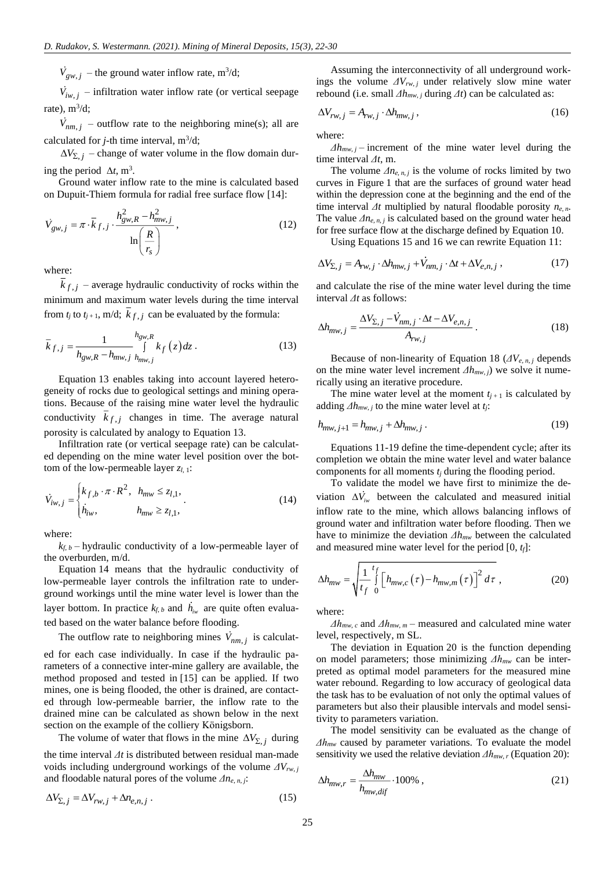$\dot{V}_{gw,i}$  – the ground water inflow rate, m<sup>3</sup>/d;

 $\dot{V}_{iw, i}$  – infiltration water inflow rate (or vertical seepage rate),  $m^3/d$ ;

 $V_{nm,i}$  – outflow rate to the neighboring mine(s); all are calculated for  $j$ -th time interval,  $m^3/d$ ;

 $\Delta V_{\Sigma, j}$  – change of water volume in the flow domain during the period  $\Delta t$ , m<sup>3</sup>.

Ground water inflow rate to the mine is calculated based on Dupuit-Thiem formula for radial free surface flow [\[14\]:](#page-7-10)

$$
\dot{V}_{gw,j} = \pi \cdot \overline{k}_{f,j} \cdot \frac{h_{gw,R}^2 - h_{mw,j}^2}{\ln\left(\frac{R}{r_s}\right)}\,,\tag{12}
$$

where:

 $k_{f,i}$  – average hydraulic conductivity of rocks within the minimum and maximum water levels during the time interval from  $t_j$  to  $t_{j+1}$ , m/d;  $k_{f,j}$  can be evaluated by the formula:

$$
\bar{k}_{f,j} = \frac{1}{h_{\text{gw},R} - h_{\text{mw},j}} \int_{h_{\text{mw},j}}^{h_{\text{gw},R}} k_f(z) dz . \tag{13}
$$

Equation 13 enables taking into account layered heterogeneity of rocks due to geological settings and mining operations. Because of the raising mine water level the hydraulic conductivity  $k_{f,j}$  changes in time. The average natural porosity is calculated by analogy to Equation 13.

Infiltration rate (or vertical seepage rate) can be calculated depending on the mine water level position over the bottom of the low-permeable layer *zl*, <sup>1</sup>:

$$
\dot{V}_{iw,j} = \begin{cases} k_{f,b} \cdot \pi \cdot R^2, & h_{mw} \le z_{l,1}, \\ \dot{h}_{iw}, & h_{mw} \ge z_{l,1}, \end{cases}
$$
 (14)

where:

 $k_f$ , *b* – hydraulic conductivity of a low-permeable layer of the overburden, m/d.

Equation 14 means that the hydraulic conductivity of low-permeable layer controls the infiltration rate to underground workings until the mine water level is lower than the layer bottom. In practice  $k_{f, b}$  and  $h_{i w}$  are quite often evaluated based on the water balance before flooding.

 $V_{p_{w,i}}$  – the ground water inflow rate, m<sup>3</sup>/d;<br>  $V_{p_{w,i}}$  – inflitration water inflow rate (or vertical scepage<br>  $V_{h,m,j}$  – inflitration water inflow rate (or vertical scepage<br>  $V_{h,m,j}$  – outflow rate to the neighborin The outflow rate to neighboring mines  $V_{nm,j}$  is calculated for each case individually. In case if the hydraulic parameters of a connective inter-mine gallery are available, the method proposed and tested in [\[15\]](#page-7-11) can be applied. If two mines, one is being flooded, the other is drained, are contacted through low-permeable barrier, the inflow rate to the drained mine can be calculated as shown below in the next section on the example of the colliery Königsborn.

The volume of water that flows in the mine  $\Delta V_{\Sigma, j}$  during the time interval *Δt* is distributed between residual man-made voids including underground workings of the volume *ΔVrw*, *<sup>j</sup>* and floodable natural pores of the volume *Δne*, *<sup>n</sup>*, *<sup>j</sup>*:

$$
\Delta V_{\Sigma,j} = \Delta V_{rw,j} + \Delta n_{e,n,j} \,. \tag{15}
$$

Assuming the interconnectivity of all underground workings the volume  $\Delta V_{rw, j}$  under relatively slow mine water rebound (i.e. small *Δhmw*, *<sup>j</sup>* during *Δt*) can be calculated as:

$$
\Delta V_{rw,j} = A_{rw,j} \cdot \Delta h_{mw,j},\tag{16}
$$

where:

*Δhmw*, *<sup>j</sup>* – increment of the mine water level during the time interval *Δt*, m.

The volume  $\Delta n_{e, n, j}$  is the volume of rocks limited by two curves in Figure 1 that are the surfaces of ground water head within the depression cone at the beginning and the end of the time interval *Δt* multiplied by natural floodable porosity *ne*, *<sup>n</sup>*. The value  $\Delta n_{e, n, j}$  is calculated based on the ground water head for free surface flow at the discharge defined by Equation 10.

Using Equations 15 and 16 we can rewrite Equation 11:

$$
\Delta V_{\Sigma,j} = A_{rw,j} \cdot \Delta h_{mw,j} + V_{nm,j} \cdot \Delta t + \Delta V_{e,n,j} \,,\tag{17}
$$

and calculate the rise of the mine water level during the time interval *Δt* as follows:

$$
\Delta h_{mw,j} = \frac{\Delta V_{\Sigma,j} - V_{nm,j} \cdot \Delta t - \Delta V_{e,n,j}}{A_{rw,j}}.
$$
\n(18)

Because of non-linearity of Equation 18 ( $\Delta V_{e, n, j}$  depends on the mine water level increment *Δhmw*, *<sup>j</sup>*) we solve it numerically using an iterative procedure.

The mine water level at the moment  $t_{i+1}$  is calculated by adding *Δhmw*, *<sup>j</sup>* to the mine water level at *tj*:

$$
h_{mw, j+1} = h_{mw, j} + \Delta h_{mw, j} \,. \tag{19}
$$

Equations 11-19 define the time-dependent cycle; after its completion we obtain the mine water level and water balance components for all moments *t<sup>j</sup>* during the flooding period.

To validate the model we have first to minimize the deviation  $\Delta V_{iw}$  between the calculated and measured initial inflow rate to the mine, which allows balancing inflows of ground water and infiltration water before flooding. Then we have to minimize the deviation *Δhmw* between the calculated and measured mine water level for the period [0, *tf*]:

$$
\Delta h_{mw} = \sqrt{\frac{1}{t_f} \int_{0}^{t_f} \left[ h_{mw,c} \left( \tau \right) - h_{mw,m} \left( \tau \right) \right]^2 d\tau} \tag{20}
$$

where:

*Δhmw*, *<sup>c</sup>* and *Δhmw*, *<sup>m</sup>* – measured and calculated mine water level, respectively, m SL.

The deviation in Equation 20 is the function depending on model parameters; those minimizing *Δhmw* can be interpreted as optimal model parameters for the measured mine water rebound. Regarding to low accuracy of geological data the task has to be evaluation of not only the optimal values of parameters but also their plausible intervals and model sensitivity to parameters variation.

The model sensitivity can be evaluated as the change of *Δhmw* caused by parameter variations. To evaluate the model sensitivity we used the relative deviation *Δhmw*, *<sup>r</sup>* (Equation 20):

$$
\Delta h_{mw,r} = \frac{\Delta h_{mw}}{h_{mw,dif}} \cdot 100\%,\tag{21}
$$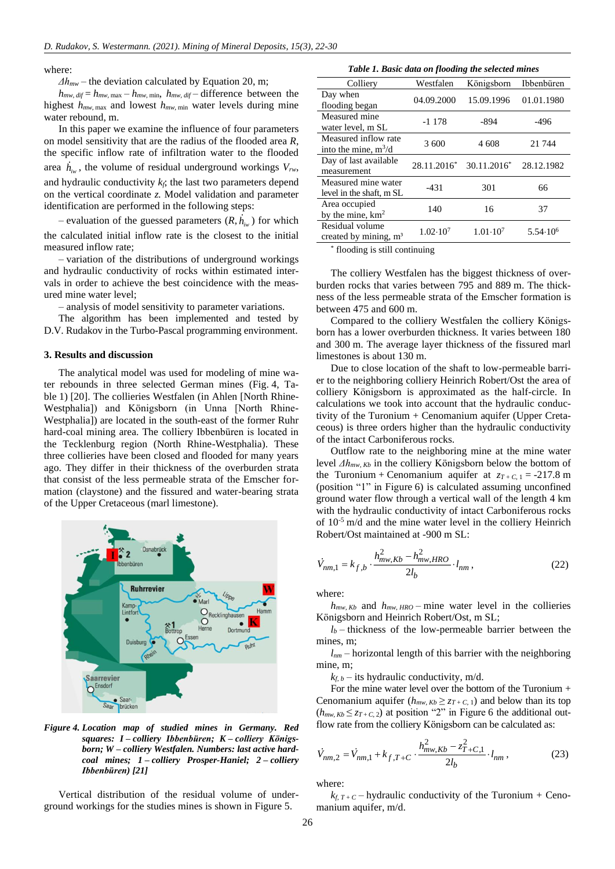where:

*Δhmw* – the deviation calculated by Equation 20, m;

 $h_{mw, dif} = h_{mw, max} - h_{mw, min}$ ,  $h_{mw, dif}$  – difference between the highest *hmw*, max and lowest *hmw*, min water levels during mine water rebound, m.

In this paper we examine the influence of four parameters on model sensitivity that are the radius of the flooded area *R*, the specific inflow rate of infiltration water to the flooded area  $h_{i w}$ , the volume of residual underground workings  $V_{i w}$ , and hydraulic conductivity *kf*; the last two parameters depend on the vertical coordinate *z.* Model validation and parameter identification are performed in the following steps:

 $-$  evaluation of the guessed parameters  $(R, h_{i w})$  for which the calculated initial inflow rate is the closest to the initial measured inflow rate;

– variation of the distributions of underground workings and hydraulic conductivity of rocks within estimated intervals in order to achieve the best coincidence with the measured mine water level;

– analysis of model sensitivity to parameter variations.

The algorithm has been implemented and tested by D.V. Rudakov in the Turbo-Pascal programming environment.

#### **3. Results and discussion**

The analytical model was used for modeling of mine water rebounds in three selected German mines (Fig. 4, Table 1) [\[20\].](#page-7-16) The collieries Westfalen (in Ahlen [North Rhine-Westphalia]) and Königsborn (in Unna [North Rhine-Westphalia]) are located in the south-east of the former Ruhr hard-coal mining area. The colliery Ibbenbüren is located in the Tecklenburg region (North Rhine-Westphalia). These three collieries have been closed and flooded for many years ago. They differ in their thickness of the overburden strata that consist of the less permeable strata of the Emscher formation (claystone) and the fissured and water-bearing strata of the Upper Cretaceous (marl limestone).



*Figure 4. Location map of studied mines in Germany. Red squares: I – colliery Ibbenbüren; K – colliery Königsborn; W – colliery Westfalen. Numbers: last active hardcoal mines; 1 – colliery Prosper-Haniel; 2 – colliery Ibbenbüren) [\[21\]](#page-7-17)*

Vertical distribution of the residual volume of underground workings for the studies mines is shown in Figure 5.

| <b>Lable 1. Basic data on flooding the selected mines</b> |                     |                     |                     |  |  |
|-----------------------------------------------------------|---------------------|---------------------|---------------------|--|--|
| Colliery                                                  | Westfalen           | Königsborn          | Ibbenbüren          |  |  |
| Day when<br>flooding began                                | 04.09.2000          | 15.09.1996          | 01.01.1980          |  |  |
| Measured mine<br>water level, m SL                        | $-1178$             | -894                | $-496$              |  |  |
| Measured inflow rate<br>into the mine, $m^3/d$            | 3 600               | 4 608               | 21 744              |  |  |
| Day of last available<br>measurement                      | 28.11.2016*         | $30.11.2016*$       | 28.12.1982          |  |  |
| Measured mine water<br>level in the shaft, m SL           | -431                | 301                 | 66                  |  |  |
| Area occupied<br>by the mine, $km2$                       | 140                 | 16                  | 37                  |  |  |
| Residual volume<br>created by mining, $m3$                | $1.02 \cdot 10^{7}$ | $1.01 \cdot 10^{7}$ | $5.54 \cdot 10^{6}$ |  |  |

*Table 1. Basic data on flooding the selected mines*

\* flooding is still continuing

The colliery Westfalen has the biggest thickness of overburden rocks that varies between 795 and 889 m. The thickness of the less permeable strata of the Emscher formation is between 475 and 600 m.

Compared to the colliery Westfalen the colliery Königsborn has a lower overburden thickness. It varies between 180 and 300 m. The average layer thickness of the fissured marl limestones is about 130 m.

Due to close location of the shaft to low-permeable barrier to the neighboring colliery Heinrich Robert/Ost the area of colliery Königsborn is approximated as the half-circle. In calculations we took into account that the hydraulic conductivity of the Turonium + Cenomanium aquifer (Upper Cretaceous) is three orders higher than the hydraulic conductivity of the intact Carboniferous rocks.

Outflow rate to the neighboring mine at the mine water level *Δhmw*, *Kb* in the colliery Königsborn below the bottom of the Turonium + Cenomanium aquifer at  $z_{T+C,1} = -217.8$  m (position "1" in Figure 6) is calculated assuming unconfined ground water flow through a vertical wall of the length 4 km with the hydraulic conductivity of intact Carboniferous rocks of  $10^{-5}$  m/d and the mine water level in the colliery Heinrich Robert/Ost maintained at -900 m SL:

$$
\dot{V}_{nm,1} = k_{f,b} \cdot \frac{h_{mw,Kb}^2 - h_{mw,HRO}^2}{2l_b} \cdot l_{nm},
$$
\n(22)

where:

 $h_{mw, Kb}$  and  $h_{mw, HRO}$  – mine water level in the collieries Königsborn and Heinrich Robert/Ost, m SL;

 $l_b$  – thickness of the low-permeable barrier between the mines, m;

*lnm* – horizontal length of this barrier with the neighboring mine, m;

 $k_f$  *b* – its hydraulic conductivity, m/d.

For the mine water level over the bottom of the Turonium + Cenomanium aquifer  $(h_{mw, Kb} \ge z_{T+C, 1})$  and below than its top  $(h_{mw, Kb} \leq z_{T+C, 2})$  at position "2" in Figure 6 the additional outflow rate from the colliery Königsborn can be calculated as:

$$
\dot{V}_{nm,2} = \dot{V}_{nm,1} + k_{f,T+C} \cdot \frac{h_{mw,Kb}^2 - z_{T+C,1}^2}{2l_b} \cdot l_{nm},
$$
\n(23)

where:

 $k_f$ ,  $T + C$  – hydraulic conductivity of the Turonium + Cenomanium aquifer, m/d.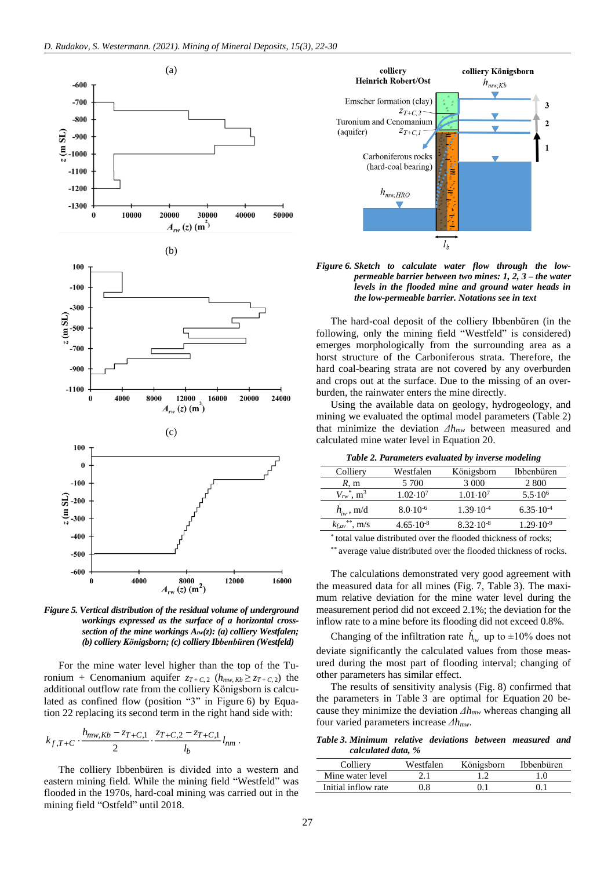

*Figure 5. Vertical distribution of the residual volume of underground workings expressed as the surface of a horizontal crosssection of the mine workings Arw(z): (a) colliery Westfalen; (b) colliery Königsborn; (c) colliery Ibbenbüren (Westfeld)*

For the mine water level higher than the top of the Turonium + Cenomanium aquifer  $z_{T+C,2}$  ( $h_{mw,Kb} \ge z_{T+C,2}$ ) the additional outflow rate from the colliery Königsborn is calculated as confined flow (position "3" in Figure 6) by Equation 22 replacing its second term in the right hand side with:

$$
k_{f,T+C} \cdot \frac{h_{mw,Kb} - z_{T+C,1}}{2} \cdot \frac{z_{T+C,2} - z_{T+C,1}}{l_b} l_{nm}.
$$

The colliery Ibbenbüren is divided into a western and eastern mining field. While the mining field "Westfeld" was flooded in the 1970s, hard-coal mining was carried out in the mining field "Ostfeld" until 2018.



*Figure 6. Sketch to calculate water flow through the lowpermeable barrier between two mines: 1, 2, 3 – the water levels in the flooded mine and ground water heads in the low-permeable barrier. Notations see in text*

The hard-coal deposit of the colliery Ibbenbüren (in the following, only the mining field "Westfeld" is considered) emerges morphologically from the surrounding area as a horst structure of the Carboniferous strata. Therefore, the hard coal-bearing strata are not covered by any overburden and crops out at the surface. Due to the missing of an overburden, the rainwater enters the mine directly.

Using the available data on geology, hydrogeology, and mining we evaluated the optimal model parameters (Table 2) that minimize the deviation *Δhmw* between measured and calculated mine water level in Equation 20.

*Table 2. Parameters evaluated by inverse modeling*

| Colliery                               | Westfalen            | Königsborn           | Ibbenbüren           |
|----------------------------------------|----------------------|----------------------|----------------------|
| R, m                                   | 5 700                | 3 0 0 0              | 2.800                |
| $V_{rw}$ <sup>*</sup> , m <sup>3</sup> | $1.02 \cdot 10^7$    | $1.01 \cdot 10^{7}$  | $5.5 \cdot 10^{6}$   |
| $h_{iw}$ , m/d                         | $8.0 \cdot 10^{-6}$  | $1.39 \cdot 10^{-4}$ | $6.35 \cdot 10^{-4}$ |
| **<br>$\rm{m/s}$<br>$k$ f, av          | $4.65 \cdot 10^{-8}$ | $8.32 \cdot 10^{-8}$ | $1.29 \cdot 10^{-9}$ |

\* total value distributed over the flooded thickness of rocks;

\*\* average value distributed over the flooded thickness of rocks.

The calculations demonstrated very good agreement with the measured data for all mines (Fig. 7, Table 3). The maximum relative deviation for the mine water level during the measurement period did not exceed 2.1%; the deviation for the inflow rate to a mine before its flooding did not exceed 0.8%.

Changing of the infiltration rate  $h_{i w}$  up to  $\pm 10\%$  does not deviate significantly the calculated values from those measured during the most part of flooding interval; changing of other parameters has similar effect.

The results of sensitivity analysis (Fig. 8) confirmed that the parameters in Table 3 are optimal for Equation 20 because they minimize the deviation *Δhmw* whereas changing all four varied parameters increase *Δhmw*.

*Table 3. Minimum relative deviations between measured and calculated data, %*

| Colliery            | Westfalen | Königsborn | <b>Ibbenbüren</b> |
|---------------------|-----------|------------|-------------------|
| Mine water level    |           |            |                   |
| Initial inflow rate | 18        |            |                   |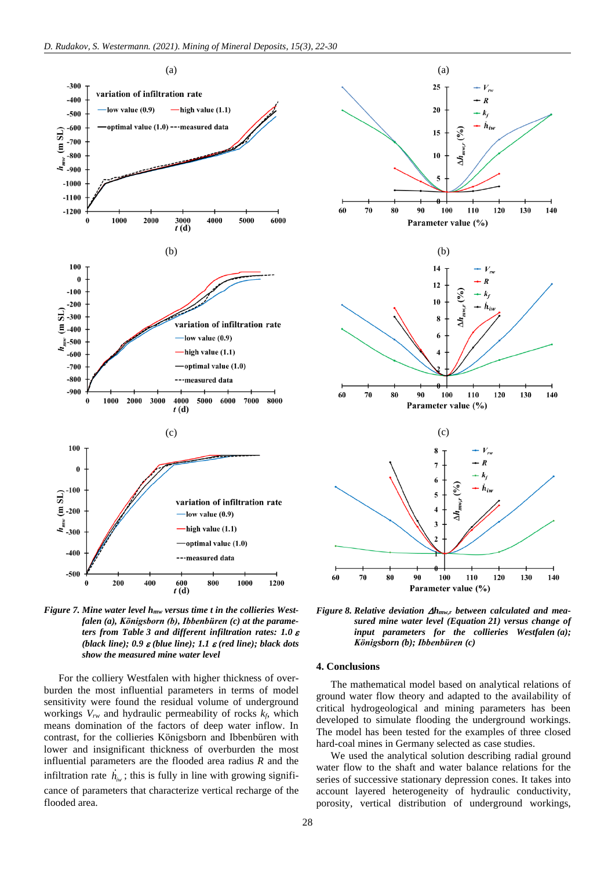

*Figure 7. Mine water level hmw versus time t in the collieries Westfalen (a), Königsborn (b), Ibbenbüren (c) at the parameters from Table 3 and different infiltration rates: 1.0 (black line);*  $0.9 \varepsilon$ *(blue line);*  $1.1 \varepsilon$ *(red line); black dots show the measured mine water level*

For the colliery Westfalen with higher thickness of overburden the most influential parameters in terms of model sensitivity were found the residual volume of underground workings *Vrw* and hydraulic permeability of rocks *kf*, which means domination of the factors of deep water inflow. In contrast, for the collieries Königsborn and Ibbenbüren with lower and insignificant thickness of overburden the most influential parameters are the flooded area radius *R* and the infiltration rate  $h_{i w}$ ; this is fully in line with growing significance of parameters that characterize vertical recharge of the flooded area.



*Figure 8. Relative deviation hmw,r between calculated and measured mine water level (Equation 21) versus change of input parameters for the collieries Westfalen (a); Königsborn (b); Ibbenbüren (c)*

#### **4. Conclusions**

The mathematical model based on analytical relations of ground water flow theory and adapted to the availability of critical hydrogeological and mining parameters has been developed to simulate flooding the underground workings. The model has been tested for the examples of three closed hard-coal mines in Germany selected as case studies.

We used the analytical solution describing radial ground water flow to the shaft and water balance relations for the series of successive stationary depression cones. It takes into account layered heterogeneity of hydraulic conductivity, porosity, vertical distribution of underground workings,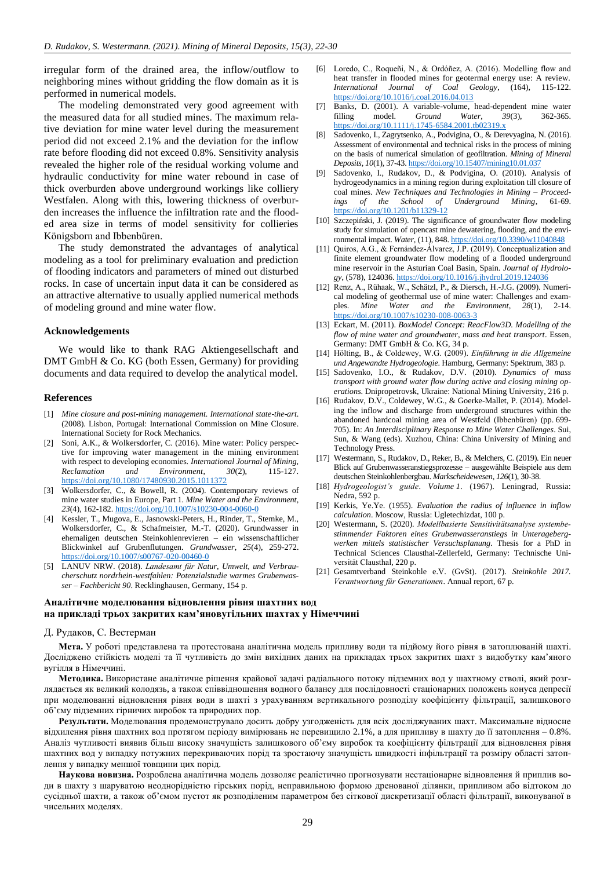irregular form of the drained area, the inflow/outflow to neighboring mines without gridding the flow domain as it is performed in numerical models.

The modeling demonstrated very good agreement with the measured data for all studied mines. The maximum relative deviation for mine water level during the measurement period did not exceed 2.1% and the deviation for the inflow rate before flooding did not exceed 0.8%. Sensitivity analysis revealed the higher role of the residual working volume and hydraulic conductivity for mine water rebound in case of thick overburden above underground workings like colliery Westfalen. Along with this, lowering thickness of overburden increases the influence the infiltration rate and the flooded area size in terms of model sensitivity for collieries Königsborn and Ibbenbüren.

The study demonstrated the advantages of analytical modeling as a tool for preliminary evaluation and prediction of flooding indicators and parameters of mined out disturbed rocks. In case of uncertain input data it can be considered as an attractive alternative to usually applied numerical methods of modeling ground and mine water flow.

#### **Acknowledgements**

We would like to thank RAG Aktiengesellschaft and DMT GmbH & Co. KG (both Essen, Germany) for providing documents and data required to develop the analytical model.

#### **References**

- <span id="page-7-0"></span>[1] *Mine closure and post-mining management. International state-the-art*. (2008). Lisbon, Portugal: International Commission on Mine Closure. International Society for Rock Mechanics.
- [2] Soni, A.K., & Wolkersdorfer, C. (2016). Mine water: Policy perspective for improving water management in the mining environment with respect to developing economies. *International Journal of Mining, Reclamation and Environment*, *30*(2), 115-127. https://doi.org/10.1080/17480930.2015.1011372
- <span id="page-7-1"></span>[3] Wolkersdorfer, C., & Bowell, R. (2004). Contemporary reviews of mine water studies in Europe, Part 1. *Mine Water and the Environment*, *23*(4), 162-182. https://doi.org/10.1007/s10230-004-0060-0
- <span id="page-7-2"></span>[4] Kessler, T., Mugova, E., Jasnowski-Peters, H., Rinder, T., Stemke, M., Wolkersdorfer, C., & Schafmeister, M.-T. (2020). Grundwasser in ehemaligen deutschen Steinkohlenrevieren – ein wissenschaftlicher Blickwinkel auf Grubenflutungen. *Grundwasser*, *25*(4), 259-272. https://doi.org/10.1007/s00767-020-00460-0
- <span id="page-7-3"></span>[5] LANUV NRW. (2018). *Landesamt für Natur, Umwelt, und Verbraucherschutz nordrhein-westfahlen: Potenzialstudie warmes Grubenwasser – Fachbericht 90*. Recklinghausen, Germany, 154 p.
- <span id="page-7-4"></span>[6] Loredo, C., Roqueñi, N., & Ordóñez, A. (2016). Modelling flow and heat transfer in flooded mines for geotermal energy use: A review. *International Journal of Coal Geology*, (164), 115-122. https://doi.org/10.1016/j.coal.2016.04.013
- <span id="page-7-5"></span>[7] Banks, D. (2001). A variable-volume, head-dependent mine water filling model. *Ground Water*, *39*(3), 362-365. https://doi.org/10.1111/j.1745-6584.2001.tb02319.x
- [8] Sadovenko, I., Zagrytsenko, A., Podvigina, O., & Derevyagina, N. (2016). Assessment of environmental and technical risks in the process of mining on the basis of numerical simulation of geofiltration. *Mining of Mineral Deposits*, *10*(1), 37-43. https://doi.org/10.15407/mining10.01.037
- [9] Sadovenko, I., Rudakov, D., & Podvigina, O. (2010). Analysis of hydrogeodynamics in a mining region during exploitation till closure of coal mines. *New Techniques and Technologies in Mining – Proceedings of the School of Underground Mining*, 61-69. https://doi.org/10.1201/b11329-12
- <span id="page-7-6"></span>[10] Szczepiński, J. (2019). The significance of groundwater flow modeling study for simulation of opencast mine dewatering, flooding, and the environmental impact. *Water*, (11), 848. https://doi.org/10.3390/w11040848
- <span id="page-7-7"></span>[11] Quiros, A.G., & Fernández-Álvarez, J.P. (2019). Conceptualization and finite element groundwater flow modeling of a flooded underground mine reservoir in the Asturian Coal Basin, Spain. *Journal of Hydrology*, (578), 124036. https://doi.org/10.1016/j.jhydrol.2019.124036
- <span id="page-7-8"></span>[12] Renz, A., Rühaak, W., Schätzl, P., & Diersch, H.-J.G. (2009). Numerical modeling of geothermal use of mine water: Challenges and examples. *Mine Water and the Environment*, *28*(1), 2-14. https://doi.org/10.1007/s10230-008-0063-3
- <span id="page-7-9"></span>[13] Eckart, M. (2011). *BoxModel Concept: ReacFlow3D. Modelling of the flow of mine water and groundwater, mass and heat transport*. Essen, Germany: DMT GmbH & Co. KG, 34 p.
- <span id="page-7-10"></span>[14] Hölting, B., & Coldewey, W.G. (2009). *Einführung in die Allgemeine und Angewandte Hydrogeologie*. Hamburg, Germany: Spektrum, 383 p.
- <span id="page-7-11"></span>[15] Sadovenko, I.O., & Rudakov, D.V. (2010). *Dynamics of mass transport with ground water flow during active and closing mining operations*. Dnipropetrovsk, Ukraine: National Mining University, 216 p.
- <span id="page-7-12"></span>[16] Rudakov, D.V., Coldewey, W.G., & Goerke-Mallet, P. (2014). Modeling the inflow and discharge from underground structures within the abandoned hardcoal mining area of Westfeld (Ibbenbüren) (pp. 699- 705). In: *An Interdisciplinary Response to Mine Water Challenges*. Sui, Sun, & Wang (eds). Xuzhou, China: China University of Mining and Technology Press.
- <span id="page-7-13"></span>[17] Westermann, S., Rudakov, D., Reker, B., & Melchers, C. (2019). Ein neuer Blick auf Grubenwasseranstiegsprozesse – ausgewählte Beispiele aus dem deutschen Steinkohlenbergbau. *Markscheidewesen*, *126*(1), 30-38.
- <span id="page-7-14"></span>[18] *Hydrogeologist's guide*. *Volume 1*. (1967). Leningrad, Russia: Nedra, 592 p.
- <span id="page-7-15"></span>[19] Kerkis, Ye.Ye. (1955). *Evaluation the radius of influence in inflow calculation*. Moscow, Russia: Ugletechizdat, 100 p.
- <span id="page-7-16"></span>[20] Westermann, S. (2020). *Modellbasierte Sensitivitätsanalyse systembestimmender Faktoren eines Grubenwasseranstiegs in Unteragebergwerken mittels statistischer Versuchsplanung*. Thesis for a PhD in Technical Sciences Clausthal-Zellerfeld, Germany: Technische Universität Clausthal, 220 p.
- <span id="page-7-17"></span>[21] Gesamtverband Steinkohle e.V. (GvSt). (2017). *Steinkohle 2017. Verantwortung für Generationen*. Annual report, 67 p.

# **Аналітичне моделювання відновлення рівня шахтних вод на прикладі трьох закритих кам'яновугільних шахтах у Німеччині**

#### Д. Рудаков, С. Вестерман

**Мета.** У роботі представлена та протестована аналітична модель припливу води та підйому його рівня в затоплюваній шахті. Досліджено стійкість моделі та її чутливість до змін вихідних даних на прикладах трьох закритих шахт з видобутку кам'яного вугілля в Німеччині.

**Методика.** Використане аналітичне рішення крайової задачі радіального потоку підземних вод у шахтному стволі, який розглядається як великий колодязь, а також співвідношення водного балансу для послідовності стаціонарних положень конуса депресії при моделюванні відновлення рівня води в шахті з урахуванням вертикального розподілу коефіцієнту фільтрації, залишкового об'єму підземних гірничих виробок та природних пор.

**Результати.** Моделювання продемонструвало досить добру узгодженість для всіх досліджуваних шахт. Максимальне відносне відхилення рівня шахтних вод протягом періоду вимірювань не перевищило 2.1%, а для припливу в шахту до її затоплення – 0.8%. Аналіз чутливості виявив більш високу значущість залишкового об'єму виробок та коефіцієнту фільтрації для відновлення рівня шахтних вод у випадку потужних перекриваючих порід та зростаючу значущість швидкості інфільтрації та розміру області затоплення у випадку меншої товщини цих порід.

**Наукова новизна.** Розроблена аналітична модель дозволяє реалістично прогнозувати нестаціонарне відновлення й приплив води в шахту з шаруватою неоднорідністю гірських порід, неправильною формою дренованої ділянки, припливом або відтоком до сусідньої шахти, а також об'ємом пустот як розподіленим параметром без сіткової дискретизації області фільтрації, виконуваної в чисельних моделях.